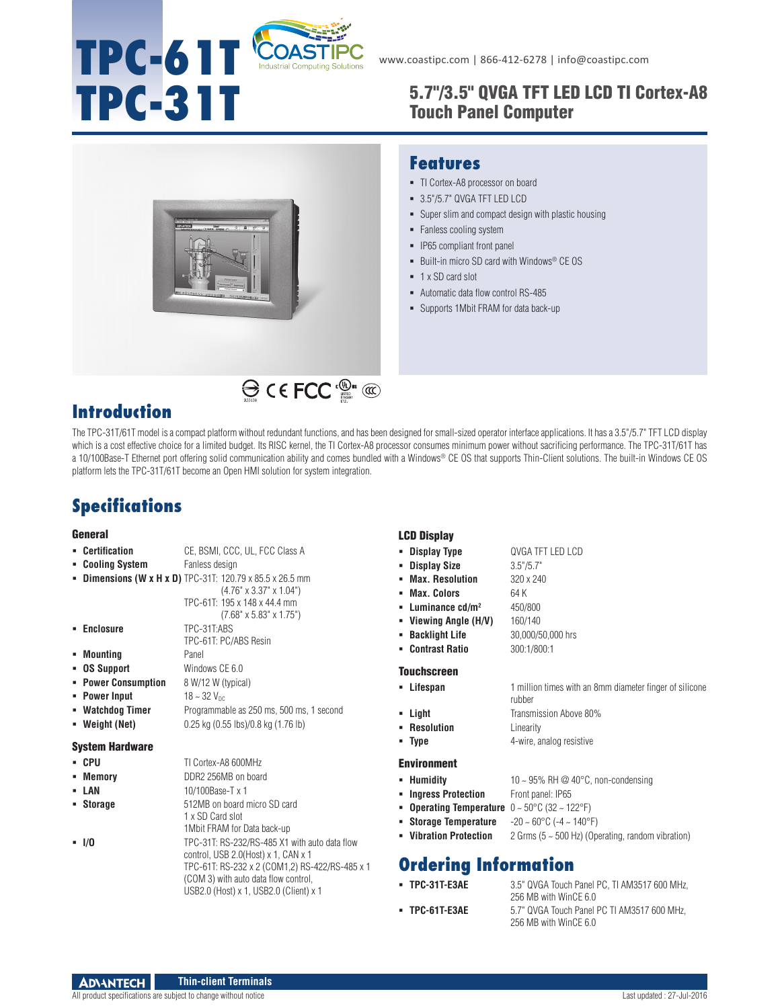# **TPC-61T** COASTIF

# TPC-31T 5.7"/3.5" QVGA TFT LED LCD TI Cortex-A8 Touch Panel Computer



## **Features**

- TI Cortex-A8 processor on board
- 3.5"/5.7" QVGA TFT LED LCD
- Super slim and compact design with plastic housing
- Fanless cooling system
- IP65 compliant front panel
- Built-in micro SD card with Windows® CE OS
- 1 x SD card slot
- Automatic data flow control RS-485
- Supports 1Mbit FRAM for data back-up

# **Introduction**

The TPC-31T/61T model is a compact platform without redundant functions, and has been designed for small-sized operator interface applications. It has a 3.5"/5.7" TFT LCD display which is a cost effective choice for a limited budget. Its RISC kernel, the TI Cortex-A8 processor consumes minimum power without sacrificing performance. The TPC-31T/61T has a 10/100Base-T Ethernet port offering solid communication ability and comes bundled with a Windows® CE OS that supports Thin-Client solutions. The built-in Windows CE OS platform lets the TPC-31T/61T become an Open HMI solution for system integration.

# **Specifications**

### **General**

| • Certification | CE, BSMI, CCC, UL, FCC Class A |  |  |  |
|-----------------|--------------------------------|--|--|--|
|                 |                                |  |  |  |

- **Cooling System** Fanless design
- **Dimensions (W x H x D)** TPC-31T: 120.79 x 85.5 x 26.5 mm
	- (4.76" x 3.37" x 1.04") TPC-61T: 195 x 148 x 44.4 mm (7.68" x 5.83" x 1.75")
- **Enclosure** TPC-31T:ABS TPC-61T: PC/ABS Resin
- **Mounting** Panel
- **OS Support** Windows CE 6.0
- **Power Consumption** 8 W/12 W (typical)
- **Power Input**  $18 \approx 32$  V<sub>DC</sub>
- **Watchdog Timer** Programmable as 250 ms, 500 ms, 1 second **Weight (Net)** 0.25 kg (0.55 lbs)/0.8 kg (1.76 lb)
- 

### System Hardware

| • CPU     | TI Cortex-A8 600MHz                                                                                                                                                                                                      |
|-----------|--------------------------------------------------------------------------------------------------------------------------------------------------------------------------------------------------------------------------|
| • Memory  | DDR2 256MB on board                                                                                                                                                                                                      |
| - LAN     | 10/100Base-T x 1                                                                                                                                                                                                         |
| • Storage | 512MB on board micro SD card<br>1 x SD Card slot<br>1 Mbit FRAM for Data back-up                                                                                                                                         |
| $-1/0$    | TPC-31T: RS-232/RS-485 X1 with auto data flow<br>control, USB 2.0(Host) x 1, CAN x 1<br>TPC-61T: RS-232 x 2 (COM1,2) RS-422/RS-485 x 1<br>(COM 3) with auto data flow control,<br>USB2.0 (Host) x 1, USB2.0 (Client) x 1 |

### LCD Display

- **Display Type** QVGA TFT LED LCD **Display Size** 3.5"/5.7" **Max. Resolution** 320 x 240 **Max. Colors** 64 K **- Luminance cd/m<sup>2</sup> 450/800 Viewing Angle (H/V)** 160/140 **Backlight Life** 30,000/50,000 hrs
- **Contrast Ratio** 300:1/800:1

### **Touchscreen**

| • Lifespan                | 1 million times with an 8mm diameter finger of silicone<br>rubber |
|---------------------------|-------------------------------------------------------------------|
| = Liaht                   | Transmission Above 80%                                            |
| $\blacksquare$ Resolution | Linearity                                                         |
| = Tvpe                    | 4-wire, analog resistive                                          |

### Environment

- **Humidity** 10 ~ 95% RH @ 40°C, non-condensing
- **Ingress Protection** Front panel: IP65
- **Operating Temperature** 0 ~ 50°C (32 ~ 122°F)
- **Storage Temperature** -20 ~ 60°C (-4 ~ 140°F)
- **Vibration Protection** 2 Grms (5 ~ 500 Hz) (Operating, random vibration)

# **Ordering Information**

- 
- **TPC-31T-E3AE** 3.5" QVGA Touch Panel PC, TI AM3517 600 MHz, 256 MB with WinCE 6.0 **TPC-61T-E3AE** 5.7" QVGA Touch Panel PC TI AM3517 600 MHz,
	- 256 MB with WinCE 6.0